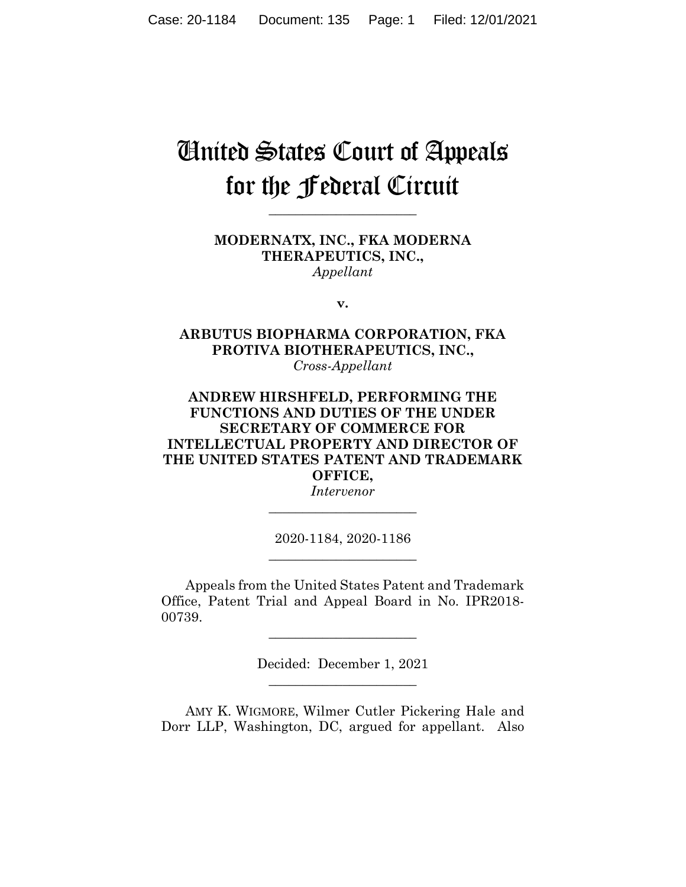# United States Court of Appeals for the Federal Circuit

**\_\_\_\_\_\_\_\_\_\_\_\_\_\_\_\_\_\_\_\_\_\_**

**MODERNATX, INC., FKA MODERNA THERAPEUTICS, INC.,** *Appellant*

**v.**

**ARBUTUS BIOPHARMA CORPORATION, FKA PROTIVA BIOTHERAPEUTICS, INC.,** *Cross-Appellant*

## **ANDREW HIRSHFELD, PERFORMING THE FUNCTIONS AND DUTIES OF THE UNDER SECRETARY OF COMMERCE FOR INTELLECTUAL PROPERTY AND DIRECTOR OF THE UNITED STATES PATENT AND TRADEMARK OFFICE,**

*Intervenor* **\_\_\_\_\_\_\_\_\_\_\_\_\_\_\_\_\_\_\_\_\_\_**

2020-1184, 2020-1186 **\_\_\_\_\_\_\_\_\_\_\_\_\_\_\_\_\_\_\_\_\_\_**

Appeals from the United States Patent and Trademark Office, Patent Trial and Appeal Board in No. IPR2018- 00739.

> Decided: December 1, 2021  $\overline{\phantom{a}}$  , where  $\overline{\phantom{a}}$  , where  $\overline{\phantom{a}}$  , where  $\overline{\phantom{a}}$

 $\overline{\phantom{a}}$  , where  $\overline{\phantom{a}}$  , where  $\overline{\phantom{a}}$  , where  $\overline{\phantom{a}}$ 

AMY K. WIGMORE, Wilmer Cutler Pickering Hale and Dorr LLP, Washington, DC, argued for appellant. Also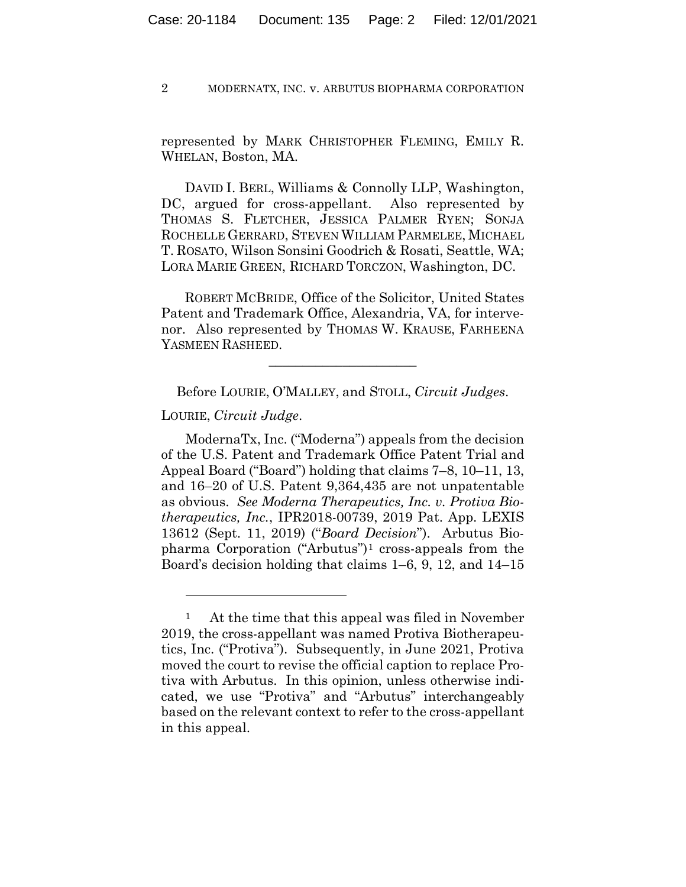represented by MARK CHRISTOPHER FLEMING, EMILY R. WHELAN, Boston, MA.

 DAVID I. BERL, Williams & Connolly LLP, Washington, DC, argued for cross-appellant. Also represented by THOMAS S. FLETCHER, JESSICA PALMER RYEN; SONJA ROCHELLE GERRARD, STEVEN WILLIAM PARMELEE, MICHAEL T. ROSATO, Wilson Sonsini Goodrich & Rosati, Seattle, WA; LORA MARIE GREEN, RICHARD TORCZON, Washington, DC.

 ROBERT MCBRIDE, Office of the Solicitor, United States Patent and Trademark Office, Alexandria, VA, for intervenor. Also represented by THOMAS W. KRAUSE, FARHEENA YASMEEN RASHEED.

Before LOURIE, O'MALLEY, and STOLL, *Circuit Judges*.

 $\overline{\phantom{a}}$  , where  $\overline{\phantom{a}}$  , where  $\overline{\phantom{a}}$  , where  $\overline{\phantom{a}}$ 

LOURIE, *Circuit Judge*.

ModernaTx, Inc. ("Moderna") appeals from the decision of the U.S. Patent and Trademark Office Patent Trial and Appeal Board ("Board") holding that claims 7–8, 10–11, 13, and 16–20 of U.S. Patent 9,364,435 are not unpatentable as obvious. *See Moderna Therapeutics, Inc. v. Protiva Biotherapeutics, Inc.*, IPR2018-00739, 2019 Pat. App. LEXIS 13612 (Sept. 11, 2019) ("*Board Decision*"). Arbutus Biopharma Corporation ("Arbutus")1 cross-appeals from the Board's decision holding that claims 1–6, 9, 12, and 14–15

<sup>1</sup> At the time that this appeal was filed in November 2019, the cross-appellant was named Protiva Biotherapeutics, Inc. ("Protiva"). Subsequently, in June 2021, Protiva moved the court to revise the official caption to replace Protiva with Arbutus. In this opinion, unless otherwise indicated, we use "Protiva" and "Arbutus" interchangeably based on the relevant context to refer to the cross-appellant in this appeal.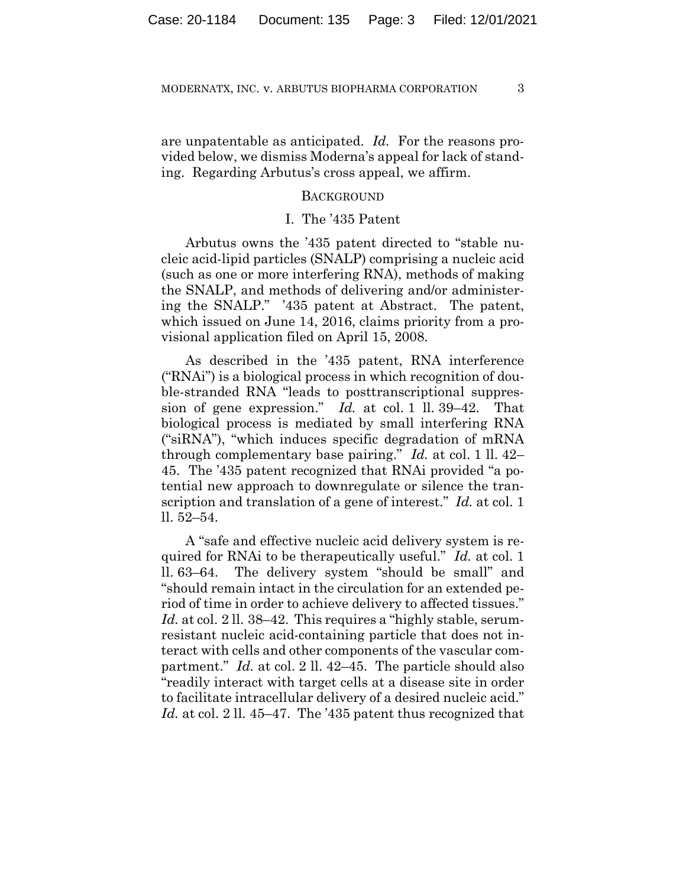are unpatentable as anticipated. *Id.* For the reasons provided below, we dismiss Moderna's appeal for lack of standing. Regarding Arbutus's cross appeal, we affirm.

## BACKGROUND

## I. The '435 Patent

Arbutus owns the '435 patent directed to "stable nucleic acid-lipid particles (SNALP) comprising a nucleic acid (such as one or more interfering RNA), methods of making the SNALP, and methods of delivering and/or administering the SNALP." '435 patent at Abstract. The patent, which issued on June 14, 2016, claims priority from a provisional application filed on April 15, 2008.

As described in the '435 patent, RNA interference ("RNAi") is a biological process in which recognition of double-stranded RNA "leads to posttranscriptional suppression of gene expression." *Id.* at col. 1 ll. 39–42. That biological process is mediated by small interfering RNA ("siRNA"), "which induces specific degradation of mRNA through complementary base pairing." *Id.* at col. 1 ll. 42– 45. The '435 patent recognized that RNAi provided "a potential new approach to downregulate or silence the transcription and translation of a gene of interest." *Id.* at col. 1 ll. 52–54.

A "safe and effective nucleic acid delivery system is required for RNAi to be therapeutically useful." *Id.* at col. 1 ll. 63–64. The delivery system "should be small" and "should remain intact in the circulation for an extended period of time in order to achieve delivery to affected tissues." Id. at col. 2 ll. 38–42. This requires a "highly stable, serumresistant nucleic acid-containing particle that does not interact with cells and other components of the vascular compartment." *Id.* at col. 2 ll. 42–45. The particle should also "readily interact with target cells at a disease site in order to facilitate intracellular delivery of a desired nucleic acid." *Id.* at col. 2 ll. 45–47. The '435 patent thus recognized that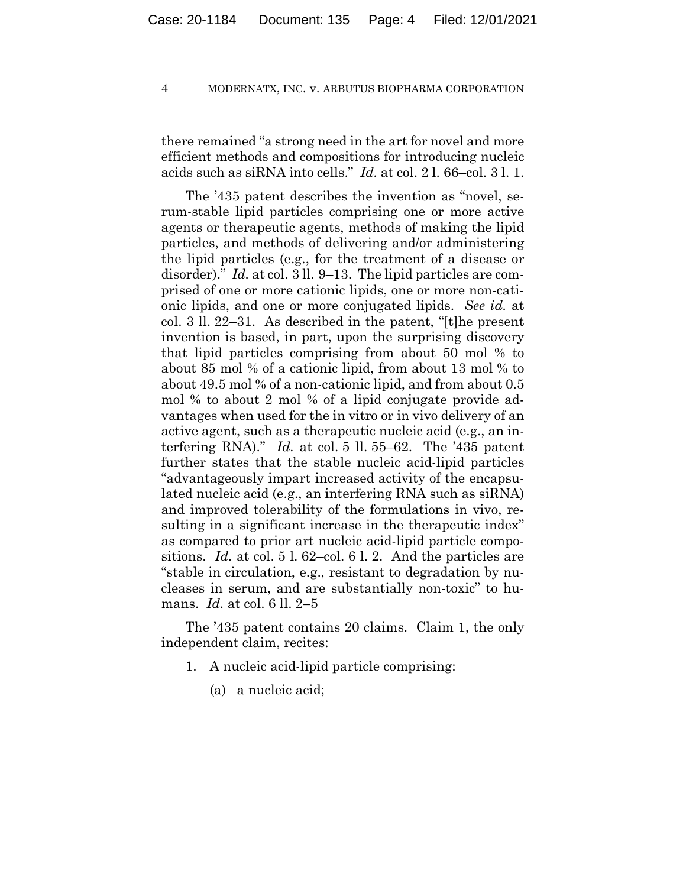there remained "a strong need in the art for novel and more efficient methods and compositions for introducing nucleic acids such as siRNA into cells." *Id.* at col. 2 l. 66–col. 3 l. 1.

The '435 patent describes the invention as "novel, serum-stable lipid particles comprising one or more active agents or therapeutic agents, methods of making the lipid particles, and methods of delivering and/or administering the lipid particles (e.g., for the treatment of a disease or disorder)." *Id.* at col. 3 ll. 9–13. The lipid particles are comprised of one or more cationic lipids, one or more non-cationic lipids, and one or more conjugated lipids. *See id.* at col. 3 ll. 22–31. As described in the patent, "[t]he present invention is based, in part, upon the surprising discovery that lipid particles comprising from about 50 mol % to about 85 mol % of a cationic lipid, from about 13 mol % to about 49.5 mol % of a non-cationic lipid, and from about 0.5 mol % to about 2 mol % of a lipid conjugate provide advantages when used for the in vitro or in vivo delivery of an active agent, such as a therapeutic nucleic acid (e.g., an interfering RNA)." *Id.* at col. 5 ll. 55–62. The '435 patent further states that the stable nucleic acid-lipid particles "advantageously impart increased activity of the encapsulated nucleic acid (e.g., an interfering RNA such as siRNA) and improved tolerability of the formulations in vivo, resulting in a significant increase in the therapeutic index" as compared to prior art nucleic acid-lipid particle compositions. *Id.* at col. 5 l. 62–col. 6 l. 2. And the particles are "stable in circulation, e.g., resistant to degradation by nucleases in serum, and are substantially non-toxic" to humans. *Id.* at col. 6 ll. 2–5

The '435 patent contains 20 claims. Claim 1, the only independent claim, recites:

- 1. A nucleic acid-lipid particle comprising:
	- (a) a nucleic acid;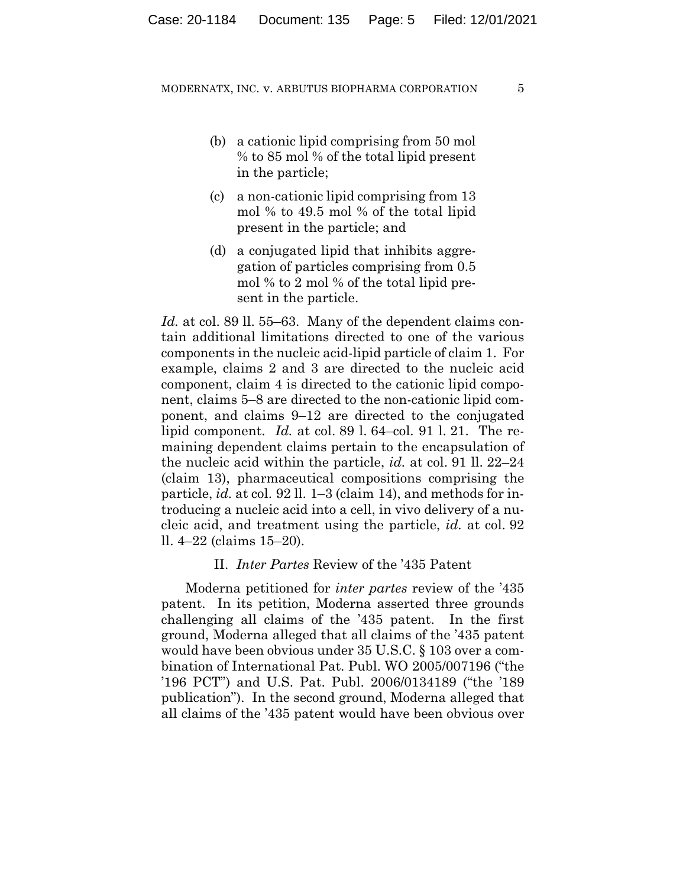- (b) a cationic lipid comprising from 50 mol % to 85 mol % of the total lipid present in the particle;
- (c) a non-cationic lipid comprising from 13 mol % to 49.5 mol % of the total lipid present in the particle; and
- (d) a conjugated lipid that inhibits aggregation of particles comprising from 0.5 mol % to 2 mol % of the total lipid present in the particle.

*Id.* at col. 89 ll. 55–63. Many of the dependent claims contain additional limitations directed to one of the various components in the nucleic acid-lipid particle of claim 1. For example, claims 2 and 3 are directed to the nucleic acid component, claim 4 is directed to the cationic lipid component, claims 5–8 are directed to the non-cationic lipid component, and claims 9–12 are directed to the conjugated lipid component. *Id.* at col. 89 l. 64–col. 91 l. 21. The remaining dependent claims pertain to the encapsulation of the nucleic acid within the particle, *id.* at col. 91 ll. 22–24 (claim 13), pharmaceutical compositions comprising the particle, *id.* at col. 92 ll. 1–3 (claim 14), and methods for introducing a nucleic acid into a cell, in vivo delivery of a nucleic acid, and treatment using the particle, *id.* at col. 92 ll. 4–22 (claims 15–20).

## II. *Inter Partes* Review of the '435 Patent

Moderna petitioned for *inter partes* review of the '435 patent. In its petition, Moderna asserted three grounds challenging all claims of the '435 patent. In the first ground, Moderna alleged that all claims of the '435 patent would have been obvious under 35 U.S.C. § 103 over a combination of International Pat. Publ. WO 2005/007196 ("the '196 PCT") and U.S. Pat. Publ. 2006/0134189 ("the '189 publication"). In the second ground, Moderna alleged that all claims of the '435 patent would have been obvious over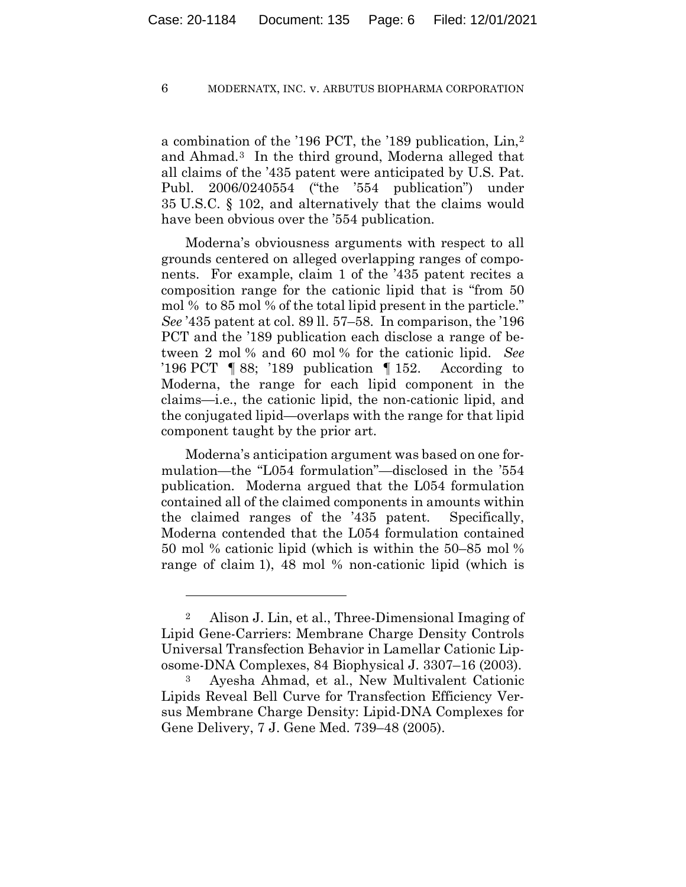a combination of the '196 PCT, the '189 publication, Lin,2 and Ahmad.3 In the third ground, Moderna alleged that all claims of the '435 patent were anticipated by U.S. Pat. Publ. 2006/0240554 ("the '554 publication") under 35 U.S.C. § 102, and alternatively that the claims would have been obvious over the '554 publication.

Moderna's obviousness arguments with respect to all grounds centered on alleged overlapping ranges of components. For example, claim 1 of the '435 patent recites a composition range for the cationic lipid that is "from 50 mol % to 85 mol % of the total lipid present in the particle." *See* '435 patent at col. 89 ll. 57–58. In comparison, the '196 PCT and the '189 publication each disclose a range of between 2 mol % and 60 mol % for the cationic lipid. *See*  '196 PCT ¶ 88; '189 publication ¶ 152. According to Moderna, the range for each lipid component in the claims—i.e., the cationic lipid, the non-cationic lipid, and the conjugated lipid—overlaps with the range for that lipid component taught by the prior art.

Moderna's anticipation argument was based on one formulation—the "L054 formulation"—disclosed in the '554 publication. Moderna argued that the L054 formulation contained all of the claimed components in amounts within the claimed ranges of the '435 patent. Specifically, Moderna contended that the L054 formulation contained 50 mol % cationic lipid (which is within the 50–85 mol % range of claim 1), 48 mol % non-cationic lipid (which is

<sup>2</sup> Alison J. Lin, et al., Three-Dimensional Imaging of Lipid Gene-Carriers: Membrane Charge Density Controls Universal Transfection Behavior in Lamellar Cationic Liposome-DNA Complexes, 84 Biophysical J. 3307–16 (2003).

<sup>3</sup> Ayesha Ahmad, et al., New Multivalent Cationic Lipids Reveal Bell Curve for Transfection Efficiency Versus Membrane Charge Density: Lipid-DNA Complexes for Gene Delivery, 7 J. Gene Med. 739–48 (2005).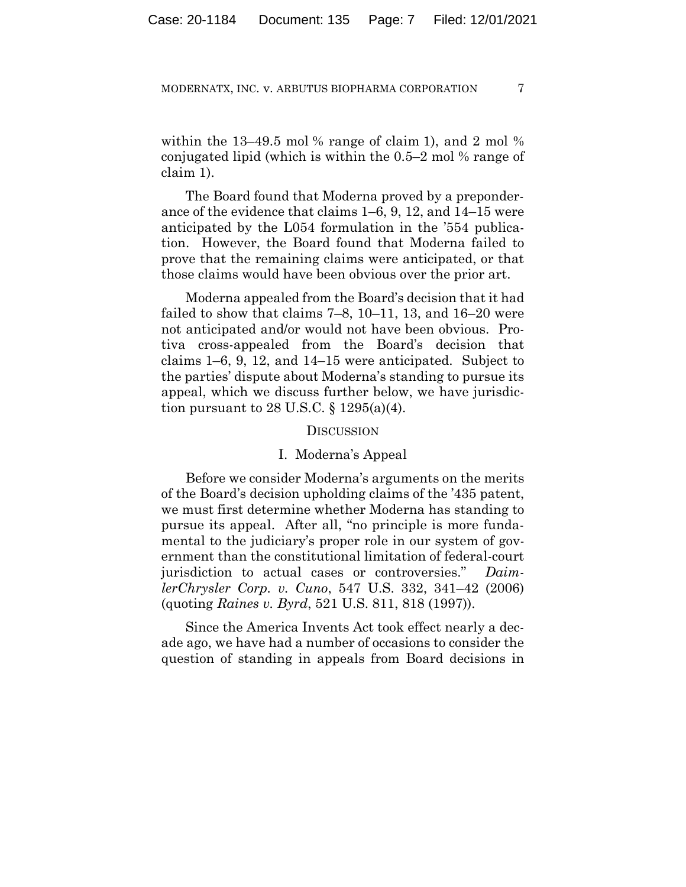within the 13–49.5 mol  $\%$  range of claim 1), and 2 mol  $\%$ conjugated lipid (which is within the 0.5–2 mol % range of claim 1).

The Board found that Moderna proved by a preponderance of the evidence that claims 1–6, 9, 12, and 14–15 were anticipated by the L054 formulation in the '554 publication. However, the Board found that Moderna failed to prove that the remaining claims were anticipated, or that those claims would have been obvious over the prior art.

Moderna appealed from the Board's decision that it had failed to show that claims 7–8, 10–11, 13, and 16–20 were not anticipated and/or would not have been obvious. Protiva cross-appealed from the Board's decision that claims 1–6, 9, 12, and 14–15 were anticipated. Subject to the parties' dispute about Moderna's standing to pursue its appeal, which we discuss further below, we have jurisdiction pursuant to 28 U.S.C.  $\S$  1295(a)(4).

## **DISCUSSION**

## I. Moderna's Appeal

Before we consider Moderna's arguments on the merits of the Board's decision upholding claims of the '435 patent, we must first determine whether Moderna has standing to pursue its appeal. After all, "no principle is more fundamental to the judiciary's proper role in our system of government than the constitutional limitation of federal-court jurisdiction to actual cases or controversies." *DaimlerChrysler Corp. v. Cuno*, 547 U.S. 332, 341–42 (2006) (quoting *Raines v. Byrd*, 521 U.S. 811, 818 (1997)).

Since the America Invents Act took effect nearly a decade ago, we have had a number of occasions to consider the question of standing in appeals from Board decisions in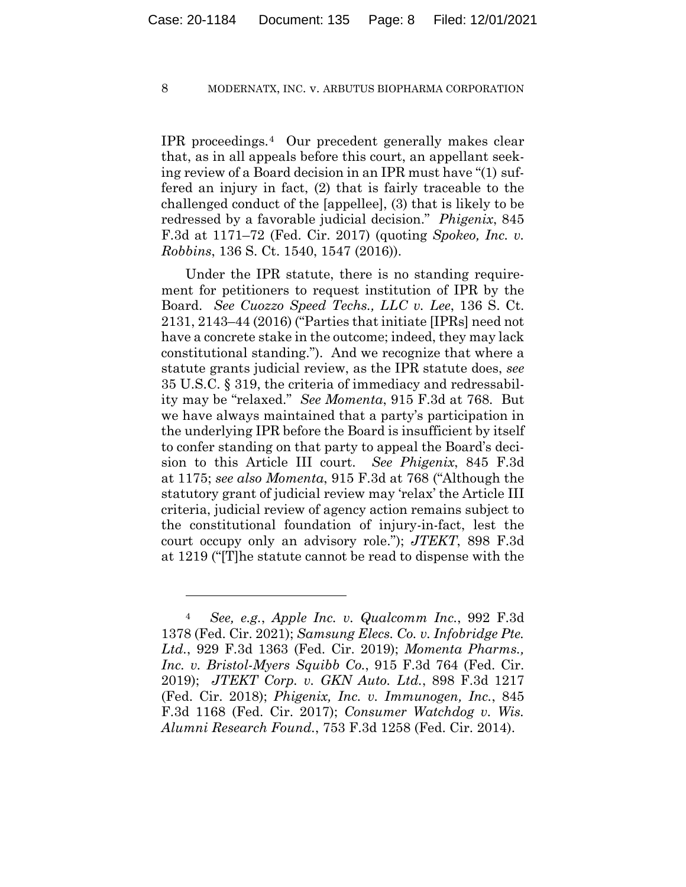IPR proceedings.4 Our precedent generally makes clear that, as in all appeals before this court, an appellant seeking review of a Board decision in an IPR must have "(1) suffered an injury in fact, (2) that is fairly traceable to the challenged conduct of the [appellee], (3) that is likely to be redressed by a favorable judicial decision." *Phigenix*, 845 F.3d at 1171–72 (Fed. Cir. 2017) (quoting *Spokeo, Inc. v. Robbins*, 136 S. Ct. 1540, 1547 (2016)).

Under the IPR statute, there is no standing requirement for petitioners to request institution of IPR by the Board. *See Cuozzo Speed Techs., LLC v. Lee*, 136 S. Ct. 2131, 2143–44 (2016) ("Parties that initiate [IPRs] need not have a concrete stake in the outcome; indeed, they may lack constitutional standing."). And we recognize that where a statute grants judicial review, as the IPR statute does, *see*  35 U.S.C. § 319, the criteria of immediacy and redressability may be "relaxed." *See Momenta*, 915 F.3d at 768. But we have always maintained that a party's participation in the underlying IPR before the Board is insufficient by itself to confer standing on that party to appeal the Board's decision to this Article III court. *See Phigenix*, 845 F.3d at 1175; *see also Momenta*, 915 F.3d at 768 ("Although the statutory grant of judicial review may 'relax' the Article III criteria, judicial review of agency action remains subject to the constitutional foundation of injury-in-fact, lest the court occupy only an advisory role."); *JTEKT*, 898 F.3d at 1219 ("[T]he statute cannot be read to dispense with the

<sup>4</sup> *See, e.g.*, *Apple Inc. v. Qualcomm Inc.*, 992 F.3d 1378 (Fed. Cir. 2021); *Samsung Elecs. Co. v. Infobridge Pte. Ltd.*, 929 F.3d 1363 (Fed. Cir. 2019); *Momenta Pharms., Inc. v. Bristol-Myers Squibb Co.*, 915 F.3d 764 (Fed. Cir. 2019); *JTEKT Corp. v. GKN Auto. Ltd.*, 898 F.3d 1217 (Fed. Cir. 2018); *Phigenix, Inc. v. Immunogen, Inc.*, 845 F.3d 1168 (Fed. Cir. 2017); *Consumer Watchdog v. Wis. Alumni Research Found.*, 753 F.3d 1258 (Fed. Cir. 2014).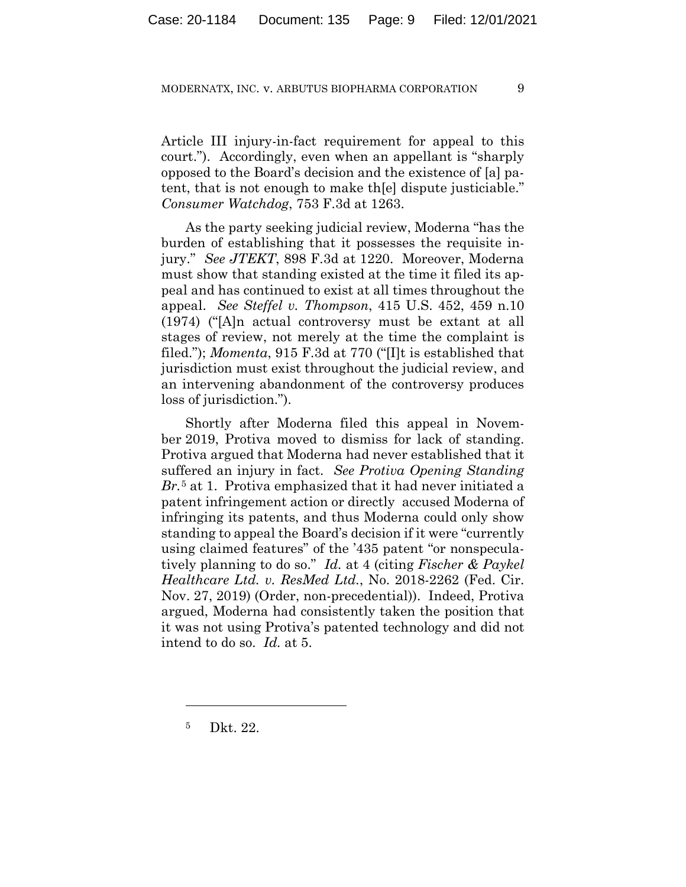Article III injury-in-fact requirement for appeal to this court."). Accordingly, even when an appellant is "sharply opposed to the Board's decision and the existence of [a] patent, that is not enough to make th[e] dispute justiciable." *Consumer Watchdog*, 753 F.3d at 1263.

As the party seeking judicial review, Moderna "has the burden of establishing that it possesses the requisite injury." *See JTEKT*, 898 F.3d at 1220. Moreover, Moderna must show that standing existed at the time it filed its appeal and has continued to exist at all times throughout the appeal. *See Steffel v. Thompson*, 415 U.S. 452, 459 n.10 (1974) ("[A]n actual controversy must be extant at all stages of review, not merely at the time the complaint is filed."); *Momenta*, 915 F.3d at 770 ("[I]t is established that jurisdiction must exist throughout the judicial review, and an intervening abandonment of the controversy produces loss of jurisdiction.").

Shortly after Moderna filed this appeal in November 2019, Protiva moved to dismiss for lack of standing. Protiva argued that Moderna had never established that it suffered an injury in fact. *See Protiva Opening Standing Br.*<sup>5</sup> at 1. Protiva emphasized that it had never initiated a patent infringement action or directly accused Moderna of infringing its patents, and thus Moderna could only show standing to appeal the Board's decision if it were "currently using claimed features" of the '435 patent "or nonspeculatively planning to do so." *Id.* at 4 (citing *Fischer & Paykel Healthcare Ltd. v. ResMed Ltd.*, No. 2018-2262 (Fed. Cir. Nov. 27, 2019) (Order, non-precedential)). Indeed, Protiva argued, Moderna had consistently taken the position that it was not using Protiva's patented technology and did not intend to do so. *Id.* at 5.

<sup>5</sup> Dkt. 22.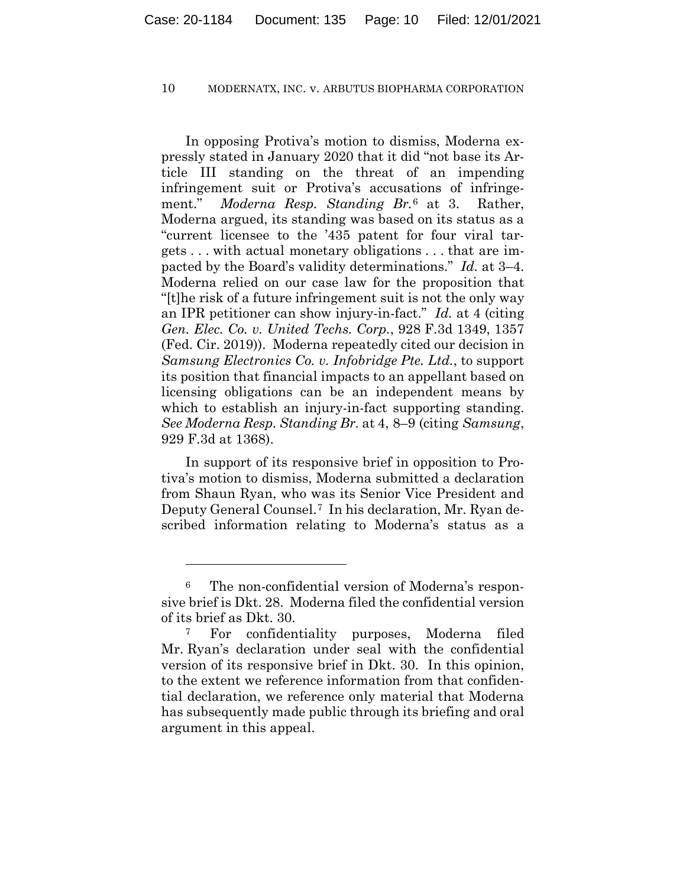In opposing Protiva's motion to dismiss, Moderna expressly stated in January 2020 that it did "not base its Article III standing on the threat of an impending infringement suit or Protiva's accusations of infringement." *Moderna Resp. Standing Br.*<sup>6</sup> at 3. Rather, Moderna argued, its standing was based on its status as a "current licensee to the '435 patent for four viral targets . . . with actual monetary obligations . . . that are impacted by the Board's validity determinations." *Id.* at 3–4. Moderna relied on our case law for the proposition that "[t]he risk of a future infringement suit is not the only way an IPR petitioner can show injury-in-fact." *Id.* at 4 (citing *Gen. Elec. Co. v. United Techs. Corp.*, 928 F.3d 1349, 1357 (Fed. Cir. 2019)). Moderna repeatedly cited our decision in *Samsung Electronics Co. v. Infobridge Pte. Ltd.*, to support its position that financial impacts to an appellant based on licensing obligations can be an independent means by which to establish an injury-in-fact supporting standing. *See Moderna Resp. Standing Br.* at 4, 8–9 (citing *Samsung*, 929 F.3d at 1368).

In support of its responsive brief in opposition to Protiva's motion to dismiss, Moderna submitted a declaration from Shaun Ryan, who was its Senior Vice President and Deputy General Counsel.7 In his declaration, Mr. Ryan described information relating to Moderna's status as a

<sup>6</sup> The non-confidential version of Moderna's responsive brief is Dkt. 28. Moderna filed the confidential version of its brief as Dkt. 30.

<sup>7</sup> For confidentiality purposes, Moderna filed Mr. Ryan's declaration under seal with the confidential version of its responsive brief in Dkt. 30. In this opinion, to the extent we reference information from that confidential declaration, we reference only material that Moderna has subsequently made public through its briefing and oral argument in this appeal.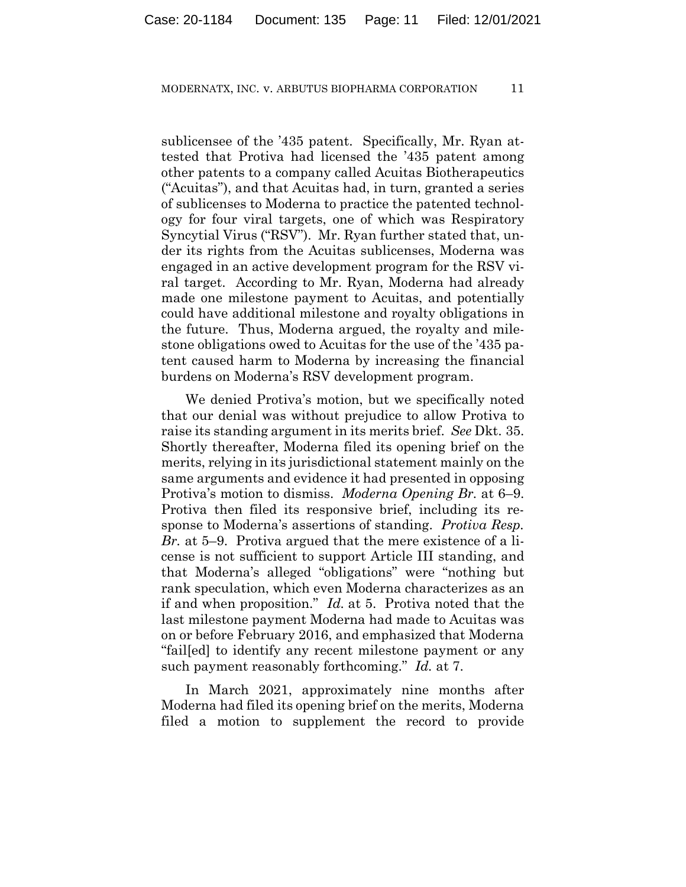sublicensee of the '435 patent. Specifically, Mr. Ryan attested that Protiva had licensed the '435 patent among other patents to a company called Acuitas Biotherapeutics ("Acuitas"), and that Acuitas had, in turn, granted a series of sublicenses to Moderna to practice the patented technology for four viral targets, one of which was Respiratory Syncytial Virus ("RSV"). Mr. Ryan further stated that, under its rights from the Acuitas sublicenses, Moderna was engaged in an active development program for the RSV viral target. According to Mr. Ryan, Moderna had already made one milestone payment to Acuitas, and potentially could have additional milestone and royalty obligations in the future. Thus, Moderna argued, the royalty and milestone obligations owed to Acuitas for the use of the '435 patent caused harm to Moderna by increasing the financial burdens on Moderna's RSV development program.

We denied Protiva's motion, but we specifically noted that our denial was without prejudice to allow Protiva to raise its standing argument in its merits brief. *See* Dkt. 35. Shortly thereafter, Moderna filed its opening brief on the merits, relying in its jurisdictional statement mainly on the same arguments and evidence it had presented in opposing Protiva's motion to dismiss. *Moderna Opening Br.* at 6–9. Protiva then filed its responsive brief, including its response to Moderna's assertions of standing. *Protiva Resp. Br.* at 5–9. Protiva argued that the mere existence of a license is not sufficient to support Article III standing, and that Moderna's alleged "obligations" were "nothing but rank speculation, which even Moderna characterizes as an if and when proposition." *Id.* at 5. Protiva noted that the last milestone payment Moderna had made to Acuitas was on or before February 2016, and emphasized that Moderna "fail[ed] to identify any recent milestone payment or any such payment reasonably forthcoming." *Id.* at 7.

In March 2021, approximately nine months after Moderna had filed its opening brief on the merits, Moderna filed a motion to supplement the record to provide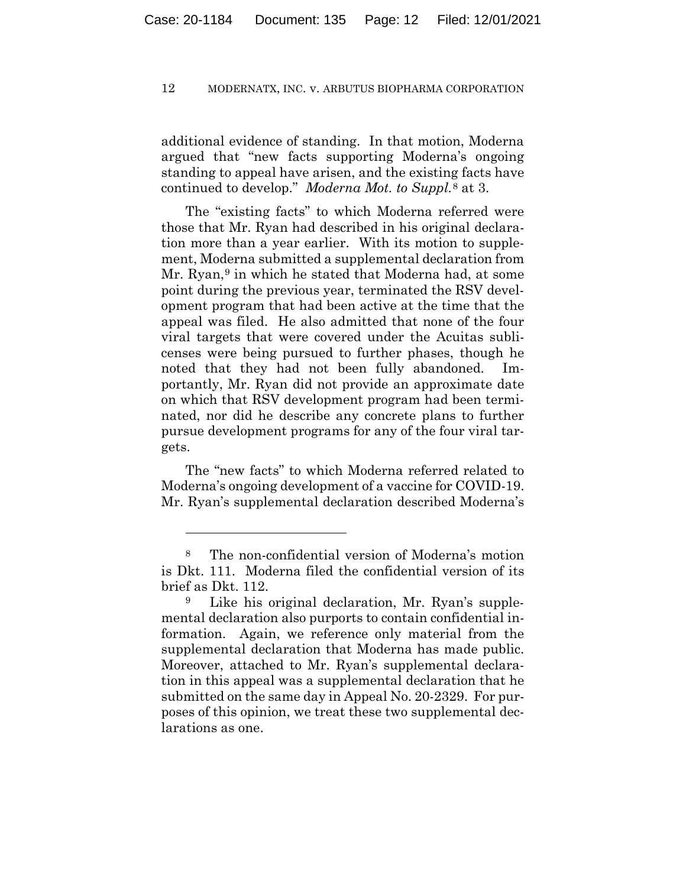additional evidence of standing. In that motion, Moderna argued that "new facts supporting Moderna's ongoing standing to appeal have arisen, and the existing facts have continued to develop." *Moderna Mot. to Suppl.*<sup>8</sup> at 3.

The "existing facts" to which Moderna referred were those that Mr. Ryan had described in his original declaration more than a year earlier. With its motion to supplement, Moderna submitted a supplemental declaration from Mr. Ryan,<sup>9</sup> in which he stated that Moderna had, at some point during the previous year, terminated the RSV development program that had been active at the time that the appeal was filed. He also admitted that none of the four viral targets that were covered under the Acuitas sublicenses were being pursued to further phases, though he noted that they had not been fully abandoned. Importantly, Mr. Ryan did not provide an approximate date on which that RSV development program had been terminated, nor did he describe any concrete plans to further pursue development programs for any of the four viral targets.

The "new facts" to which Moderna referred related to Moderna's ongoing development of a vaccine for COVID-19. Mr. Ryan's supplemental declaration described Moderna's

<sup>8</sup> The non-confidential version of Moderna's motion is Dkt. 111. Moderna filed the confidential version of its brief as Dkt. 112.

<sup>9</sup> Like his original declaration, Mr. Ryan's supplemental declaration also purports to contain confidential information. Again, we reference only material from the supplemental declaration that Moderna has made public. Moreover, attached to Mr. Ryan's supplemental declaration in this appeal was a supplemental declaration that he submitted on the same day in Appeal No. 20-2329. For purposes of this opinion, we treat these two supplemental declarations as one.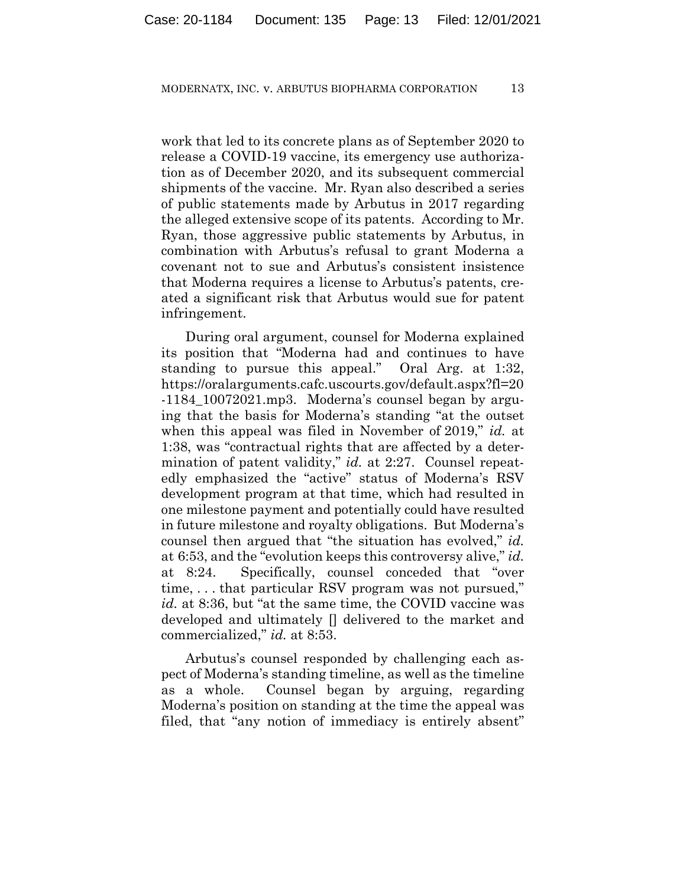work that led to its concrete plans as of September 2020 to release a COVID-19 vaccine, its emergency use authorization as of December 2020, and its subsequent commercial shipments of the vaccine. Mr. Ryan also described a series of public statements made by Arbutus in 2017 regarding the alleged extensive scope of its patents. According to Mr. Ryan, those aggressive public statements by Arbutus, in combination with Arbutus's refusal to grant Moderna a covenant not to sue and Arbutus's consistent insistence that Moderna requires a license to Arbutus's patents, created a significant risk that Arbutus would sue for patent infringement.

During oral argument, counsel for Moderna explained its position that "Moderna had and continues to have standing to pursue this appeal." Oral Arg. at 1:32, https://oralarguments.cafc.uscourts.gov/default.aspx?fl=20 -1184\_10072021.mp3. Moderna's counsel began by arguing that the basis for Moderna's standing "at the outset when this appeal was filed in November of 2019," *id.* at 1:38, was "contractual rights that are affected by a determination of patent validity," *id.* at 2:27. Counsel repeatedly emphasized the "active" status of Moderna's RSV development program at that time, which had resulted in one milestone payment and potentially could have resulted in future milestone and royalty obligations. But Moderna's counsel then argued that "the situation has evolved," *id.*  at 6:53, and the "evolution keeps this controversy alive," *id.*  at 8:24. Specifically, counsel conceded that "over time, . . . that particular RSV program was not pursued," *id.* at 8:36, but "at the same time, the COVID vaccine was developed and ultimately [] delivered to the market and commercialized," *id.* at 8:53.

Arbutus's counsel responded by challenging each aspect of Moderna's standing timeline, as well as the timeline as a whole. Counsel began by arguing, regarding Moderna's position on standing at the time the appeal was filed, that "any notion of immediacy is entirely absent"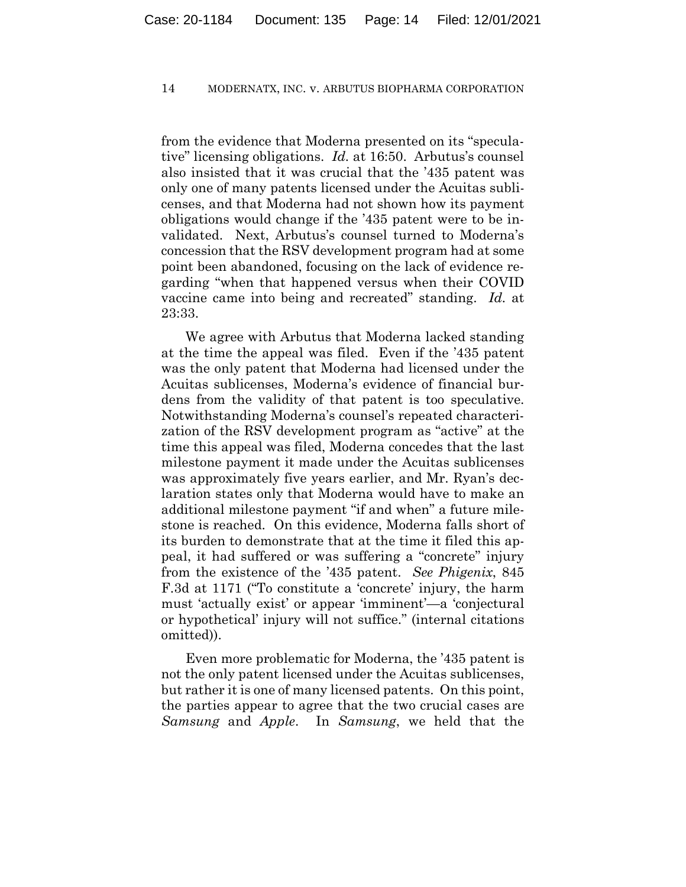from the evidence that Moderna presented on its "speculative" licensing obligations. *Id.* at 16:50. Arbutus's counsel also insisted that it was crucial that the '435 patent was only one of many patents licensed under the Acuitas sublicenses, and that Moderna had not shown how its payment obligations would change if the '435 patent were to be invalidated. Next, Arbutus's counsel turned to Moderna's concession that the RSV development program had at some point been abandoned, focusing on the lack of evidence regarding "when that happened versus when their COVID vaccine came into being and recreated" standing. *Id.* at 23:33.

We agree with Arbutus that Moderna lacked standing at the time the appeal was filed. Even if the '435 patent was the only patent that Moderna had licensed under the Acuitas sublicenses, Moderna's evidence of financial burdens from the validity of that patent is too speculative. Notwithstanding Moderna's counsel's repeated characterization of the RSV development program as "active" at the time this appeal was filed, Moderna concedes that the last milestone payment it made under the Acuitas sublicenses was approximately five years earlier, and Mr. Ryan's declaration states only that Moderna would have to make an additional milestone payment "if and when" a future milestone is reached. On this evidence, Moderna falls short of its burden to demonstrate that at the time it filed this appeal, it had suffered or was suffering a "concrete" injury from the existence of the '435 patent. *See Phigenix*, 845 F.3d at 1171 ("To constitute a 'concrete' injury, the harm must 'actually exist' or appear 'imminent'—a 'conjectural or hypothetical' injury will not suffice." (internal citations omitted)).

Even more problematic for Moderna, the '435 patent is not the only patent licensed under the Acuitas sublicenses, but rather it is one of many licensed patents. On this point, the parties appear to agree that the two crucial cases are *Samsung* and *Apple*. In *Samsung*, we held that the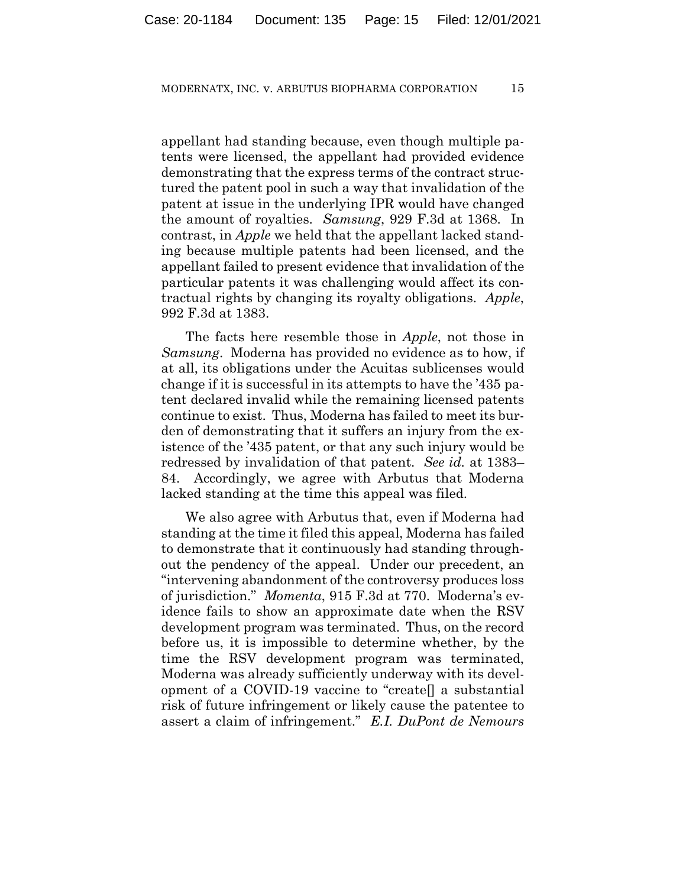appellant had standing because, even though multiple patents were licensed, the appellant had provided evidence demonstrating that the express terms of the contract structured the patent pool in such a way that invalidation of the patent at issue in the underlying IPR would have changed the amount of royalties. *Samsung*, 929 F.3d at 1368. In contrast, in *Apple* we held that the appellant lacked standing because multiple patents had been licensed, and the appellant failed to present evidence that invalidation of the particular patents it was challenging would affect its contractual rights by changing its royalty obligations. *Apple*, 992 F.3d at 1383.

The facts here resemble those in *Apple*, not those in *Samsung*. Moderna has provided no evidence as to how, if at all, its obligations under the Acuitas sublicenses would change if it is successful in its attempts to have the '435 patent declared invalid while the remaining licensed patents continue to exist. Thus, Moderna has failed to meet its burden of demonstrating that it suffers an injury from the existence of the '435 patent, or that any such injury would be redressed by invalidation of that patent. *See id.* at 1383– 84. Accordingly, we agree with Arbutus that Moderna lacked standing at the time this appeal was filed.

We also agree with Arbutus that, even if Moderna had standing at the time it filed this appeal, Moderna has failed to demonstrate that it continuously had standing throughout the pendency of the appeal. Under our precedent, an "intervening abandonment of the controversy produces loss of jurisdiction." *Momenta*, 915 F.3d at 770. Moderna's evidence fails to show an approximate date when the RSV development program was terminated. Thus, on the record before us, it is impossible to determine whether, by the time the RSV development program was terminated, Moderna was already sufficiently underway with its development of a COVID-19 vaccine to "create[] a substantial risk of future infringement or likely cause the patentee to assert a claim of infringement." *E.I. DuPont de Nemours*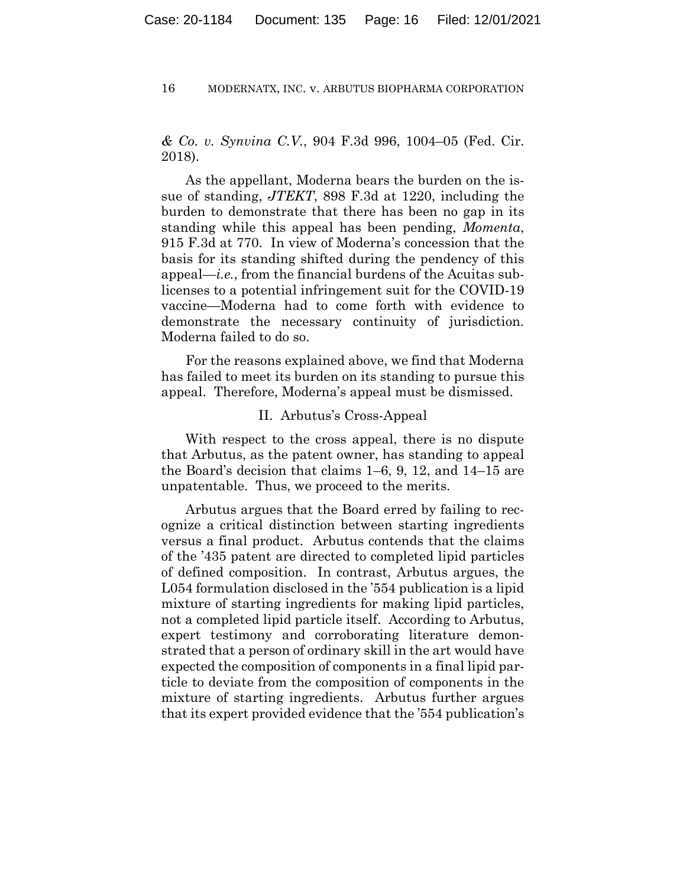*& Co. v. Synvina C.V.*, 904 F.3d 996, 1004–05 (Fed. Cir. 2018).

As the appellant, Moderna bears the burden on the issue of standing, *JTEKT*, 898 F.3d at 1220, including the burden to demonstrate that there has been no gap in its standing while this appeal has been pending, *Momenta*, 915 F.3d at 770. In view of Moderna's concession that the basis for its standing shifted during the pendency of this appeal—*i.e.*, from the financial burdens of the Acuitas sublicenses to a potential infringement suit for the COVID-19 vaccine—Moderna had to come forth with evidence to demonstrate the necessary continuity of jurisdiction. Moderna failed to do so.

For the reasons explained above, we find that Moderna has failed to meet its burden on its standing to pursue this appeal. Therefore, Moderna's appeal must be dismissed.

## II. Arbutus's Cross-Appeal

With respect to the cross appeal, there is no dispute that Arbutus, as the patent owner, has standing to appeal the Board's decision that claims 1–6, 9, 12, and 14–15 are unpatentable. Thus, we proceed to the merits.

Arbutus argues that the Board erred by failing to recognize a critical distinction between starting ingredients versus a final product. Arbutus contends that the claims of the '435 patent are directed to completed lipid particles of defined composition. In contrast, Arbutus argues, the L054 formulation disclosed in the '554 publication is a lipid mixture of starting ingredients for making lipid particles, not a completed lipid particle itself. According to Arbutus, expert testimony and corroborating literature demonstrated that a person of ordinary skill in the art would have expected the composition of components in a final lipid particle to deviate from the composition of components in the mixture of starting ingredients. Arbutus further argues that its expert provided evidence that the '554 publication's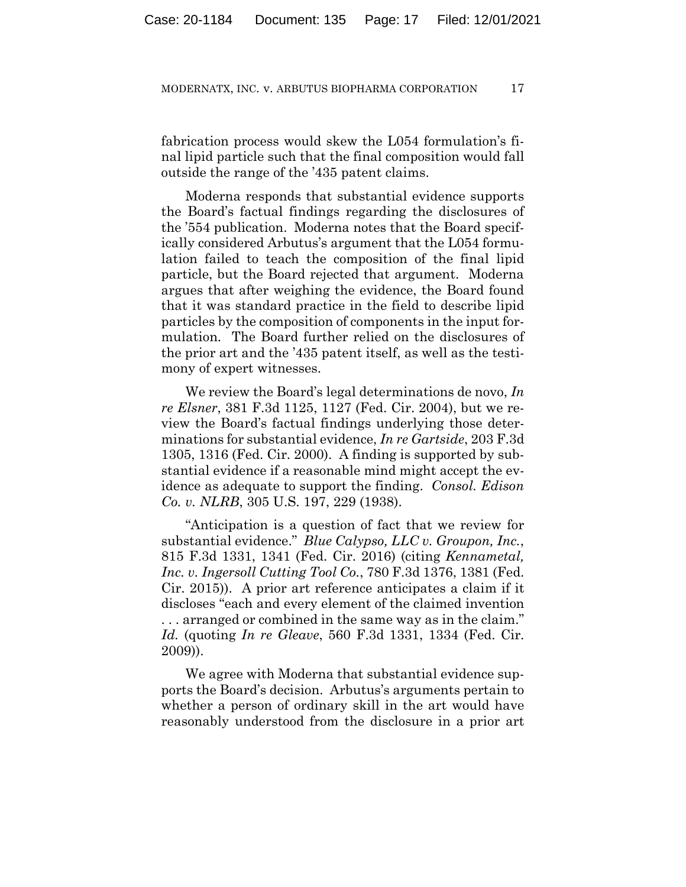fabrication process would skew the L054 formulation's final lipid particle such that the final composition would fall outside the range of the '435 patent claims.

Moderna responds that substantial evidence supports the Board's factual findings regarding the disclosures of the '554 publication. Moderna notes that the Board specifically considered Arbutus's argument that the L054 formulation failed to teach the composition of the final lipid particle, but the Board rejected that argument. Moderna argues that after weighing the evidence, the Board found that it was standard practice in the field to describe lipid particles by the composition of components in the input formulation. The Board further relied on the disclosures of the prior art and the '435 patent itself, as well as the testimony of expert witnesses.

We review the Board's legal determinations de novo, *In re Elsner*, 381 F.3d 1125, 1127 (Fed. Cir. 2004), but we review the Board's factual findings underlying those determinations for substantial evidence, *In re Gartside*, 203 F.3d 1305, 1316 (Fed. Cir. 2000). A finding is supported by substantial evidence if a reasonable mind might accept the evidence as adequate to support the finding. *Consol. Edison Co. v. NLRB*, 305 U.S. 197, 229 (1938).

"Anticipation is a question of fact that we review for substantial evidence." *Blue Calypso, LLC v. Groupon, Inc.*, 815 F.3d 1331, 1341 (Fed. Cir. 2016) (citing *Kennametal, Inc. v. Ingersoll Cutting Tool Co.*, 780 F.3d 1376, 1381 (Fed. Cir. 2015)). A prior art reference anticipates a claim if it discloses "each and every element of the claimed invention . . . arranged or combined in the same way as in the claim." *Id.* (quoting *In re Gleave*, 560 F.3d 1331, 1334 (Fed. Cir. 2009)).

We agree with Moderna that substantial evidence supports the Board's decision. Arbutus's arguments pertain to whether a person of ordinary skill in the art would have reasonably understood from the disclosure in a prior art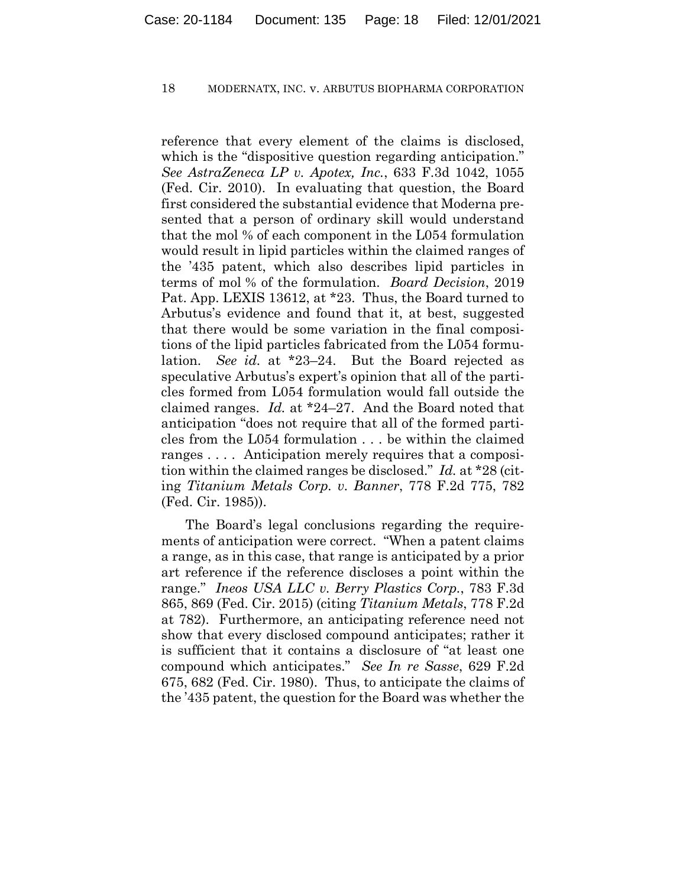reference that every element of the claims is disclosed, which is the "dispositive question regarding anticipation." *See AstraZeneca LP v. Apotex, Inc.*, 633 F.3d 1042, 1055 (Fed. Cir. 2010). In evaluating that question, the Board first considered the substantial evidence that Moderna presented that a person of ordinary skill would understand that the mol % of each component in the L054 formulation would result in lipid particles within the claimed ranges of the '435 patent, which also describes lipid particles in terms of mol % of the formulation. *Board Decision*, 2019 Pat. App. LEXIS 13612, at \*23. Thus, the Board turned to Arbutus's evidence and found that it, at best, suggested that there would be some variation in the final compositions of the lipid particles fabricated from the L054 formulation. *See id.* at \*23–24. But the Board rejected as speculative Arbutus's expert's opinion that all of the particles formed from L054 formulation would fall outside the claimed ranges. *Id.* at \*24–27. And the Board noted that anticipation "does not require that all of the formed particles from the L054 formulation . . . be within the claimed ranges . . . . Anticipation merely requires that a composition within the claimed ranges be disclosed." *Id.* at \*28 (citing *Titanium Metals Corp. v. Banner*, 778 F.2d 775, 782 (Fed. Cir. 1985)).

The Board's legal conclusions regarding the requirements of anticipation were correct. "When a patent claims a range, as in this case, that range is anticipated by a prior art reference if the reference discloses a point within the range." *Ineos USA LLC v. Berry Plastics Corp.*, 783 F.3d 865, 869 (Fed. Cir. 2015) (citing *Titanium Metals*, 778 F.2d at 782). Furthermore, an anticipating reference need not show that every disclosed compound anticipates; rather it is sufficient that it contains a disclosure of "at least one compound which anticipates." *See In re Sasse*, 629 F.2d 675, 682 (Fed. Cir. 1980). Thus, to anticipate the claims of the '435 patent, the question for the Board was whether the